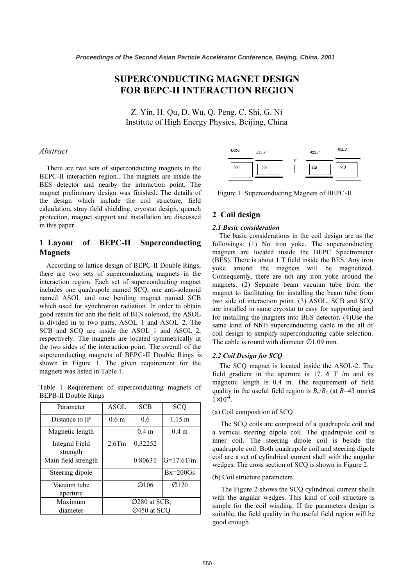# SUPERCONDUCTING MAGNET DESIGN FOR BEPC-II INTERACTION REGION

 $\overline{\text{X}}$  of High Energy Physics, Beijing, Chin  $\frac{1}{2}$   $\frac{1}{2}$   $\frac{1}{2}$   $\frac{1}{2}$   $\frac{1}{2}$   $\frac{1}{2}$   $\frac{1}{2}$   $\frac{1}{2}$   $\frac{1}{2}$   $\frac{1}{2}$   $\frac{1}{2}$   $\frac{1}{2}$   $\frac{1}{2}$   $\frac{1}{2}$   $\frac{1}{2}$   $\frac{1}{2}$   $\frac{1}{2}$   $\frac{1}{2}$   $\frac{1}{2}$   $\frac{1}{2}$   $\frac{1}{2}$   $\frac{1}{2}$ 

# Abstract

 There are two sets of superconducting magnets in the BEPC-II interaction region.. The magnets are inside the BES detector and nearby the interaction point. The magnet preliminary design was finished. The details of the design which include the coil structure, field calculation, stray field shielding, cryostat design, quench protection, magnet support and installation are discussed in this paper.

# 1 Layout of BEPC-II Superconducting Magnets

 According to lattice design of BEPC-II Double Rings, there are two sets of superconducting magnets in the interaction region. Each set of superconducting magnet includes one quadrupole named SCQ, one anti-solenoid named ASOL and one bending magnet named SCB which used for synchrotron radiation. In order to obtain good results for anti the field of BES solenoid, the ASOL is divided in to two parts, ASOL\_1 and ASOL\_2. The SCB and SCQ are inside the ASOL 1 and ASOL 2, respectively. The magnets are located symmetrically at the two sides of the interaction point. The overall of the superconducting magnets of BEPC-II Double Rings is shown in Figure 1. The given requirement for the magnets was listed in Table 1.

Table 1 Requirement of superconducting magnets of BEPB-II Double Rings

| Parameter                         | <b>ASOL</b>               | <b>SCB</b>        | SCQ               |
|-----------------------------------|---------------------------|-------------------|-------------------|
| Distance to IP                    | 0.6 <sub>m</sub>          | 0.6               | $1.15 \text{ m}$  |
| Magnetic length                   |                           | 0.4 <sub>m</sub>  | 0.4 <sub>m</sub>  |
| <b>Integral Field</b><br>strength | $2.6$ Tm                  | 0.32252           |                   |
| Main field strength               |                           | 0.8063T           | $G=17.6T/m$       |
| Steering dipole                   |                           |                   | $Bx=200Gs$        |
| Vacuum tube<br>aperture           |                           | $\varnothing$ 106 | $\varnothing$ 120 |
| Maximum                           | $\varnothing$ 280 at SCB. |                   |                   |
| diameter                          | Ø450 at SCQ               |                   |                   |



Figure 1 Superconducting Magnets of BEPC-II

# <sup>2</sup> Coil design

#### 2.1 Basic consideration

 The basic considerations in the coil design are as the followings: (1) No iron yoke. The superconducting magnets are located inside the BEPC Spectrometer (BES). There is about 1 T field inside the BES. Any iron yoke around the magnets will be magnetized. Consequently, there are not any iron yoke around the magnets. (2) Separate beam vacuum tube from the magnet to facilitating for installing the beam tube from two side of interaction point. (3) ASOL, SCB and SCQ are installed in same cryostat to easy for supporting and for installing the magnets into BES detector. (4)Use the same kind of NbTi supercunducting cable in the all of coil design to simplify superconducting cable selection. The cable is round with diameter ∅1.09 mm.

#### 2.2 Coil Design for SCQ

 The SCQ magnet is located inside the ASOL-2. The field gradient in the aperture is 17. 6 T  $/m$  and its magnetic length is 0.4 m. The requirement of field quality in the useful field region is  $B_n/B_2$  (at  $R=43$  mm) $\leq$  $1 \times 10^{-4}$ .

#### (a) Coil composition of SCQ

The SCQ coils are composed of a quadrupole coil and a vertical steering dipole coil. The quadrupole coil is inner coil. The steering dipole coil is beside the quadrupole coil. Both quadrupole coil and steering dipole coil are a set of cylindrical current shell with the angular wedges. The cross section of SCQ is shown in Figure 2.

#### (b) Coil structure parameters

 The Figure 2 shows the SCQ cylindrical current shells with the angular wedges. This kind of coil structure is simple for the coil winding. If the parameters design is suitable, the field quality in the useful field region will be good enough.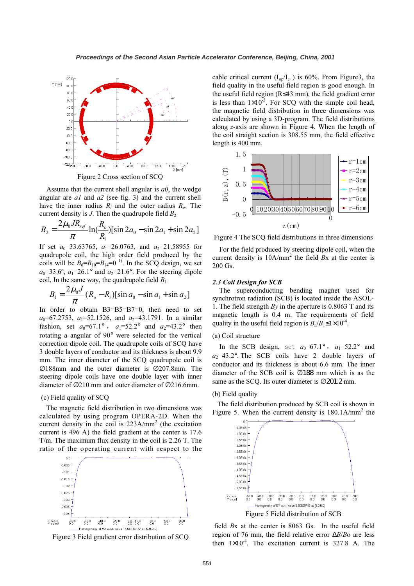

Figure 2 Cross section of SCQ

Assume that the current shell angular is  $a\theta$ , the wedge angular are  $aI$  and  $a2$  (see fig. 3) and the current shell have the inner radius  $R_i$  and the outer radius  $R_o$ . The current density is  $J$ . Then the quadrupole field  $B_2$ 

$$
B_2 = \frac{2\mu_0 J R_{ref}}{\pi} \ln(\frac{R_o}{R_i}) [\sin 2a_0 - \sin 2a_1 + \sin 2a_2]
$$

If set  $a_0$ =33.63765,  $a_1$ =26.0763, and  $a_2$ =21.58955 for quadrupole coil, the high order field produced by the coils will be  $B_6 = B_{10} = B_{14} = 0^{1}$ . In the SCQ design, we set  $a_0$ =33.6°,  $a_1$ =26.1° and  $a_2$ =21.6°. For the steering dipole coil, In the same way, the quadrupole field  $B_1$ 

$$
B_1 = \frac{2\mu_0 J}{\pi} (R_o - R_i) [\sin a_0 - \sin a_1 + \sin a_2]
$$

In order to obtain B3=B5=B7=0, then need to set  $a_0$ =67.2753,  $a_1$ =52.1526, and  $a_2$ =43.1791. In a similar fashion, set  $a_0=67.1^\circ$ ,  $a_1=52.2^\circ$  and  $a_2=43.2^\circ$  then rotating a angular of 90° were selected for the vertical correction dipole coil. The quadrupole coils of SCQ have 3 double layers of conductor and its thickness is about 9.9 mm. The inner diameter of the SCQ quadrupole coil is ∅188mm and the outer diameter is ∅207.8mm. The steering dipole coils have one double layer with inner diameter of ∅210 mm and outer diameter of ∅216.6mm.

#### (c) Field quality of SCQ

The magnetic field distribution in two dimensions was calculated by using program OPERA-2D. When the current density in the coil is  $223A/mm^2$  (the excitation current is 496 A) the field gradient at the center is 17.6 T/m. The maximum flux density in the coil is 2.26 T. The ratio of the operating current with respect to the



Figure 3 Field gradient error distribution of SCQ

cable critical current  $(I_{op}/I_c)$  is 60%. From Figure3, the field quality in the useful field region is good enough. In the useful field region (R≤43 mm), the field gradient error is less than  $1\times10^{-3}$ . For SCO with the simple coil head, the magnetic field distribution in three dimensions was calculated by using a 3D-program. The field distributions along z-axis are shown in Figure 4. When the length of the coil straight section is 308.55 mm, the field effective length is 400 mm.



Figure 4 The SCQ field distributions in three dimensions

 For the field produced by steering dipole coil, when the current density is  $10A/mm^2$  the field Bx at the center is 200 Gs.

#### 2.3 Coil Design for SCB

The superconducting bending magnet used for synchrotron radiation (SCB) is located inside the ASOL-1. The field strength  $By$  in the aperture is 0.8063 T and its magnetic length is 0.4 m. The requirements of field quality in the useful field region is  $B_n/B_1 \leq 1 \times 10^{-4}$ .

### (a) Coil structure

In the SCB design, set  $a_0=67.1^\circ$ ,  $a_1=52.2^\circ$  and  $a_2$ =43.2°. The SCB coils have 2 double layers of conductor and its thickness is about 6.6 mm. The inner diameter of the SCB coil is ∅188 mm which is as the same as the SCO. Its outer diameter is ⊘201.2 mm.

### (b) Field quality

 The field distribution produced by SCB coil is shown in Figure 5. When the current density is  $180.1$ A/mm<sup>2</sup> the



 field Bx at the center is 8063 Gs. In the useful field region of 76 mm, the field relative error ∆B/Bo are less then  $1\times10^{-4}$ . The excitation current is 327.8 A. The